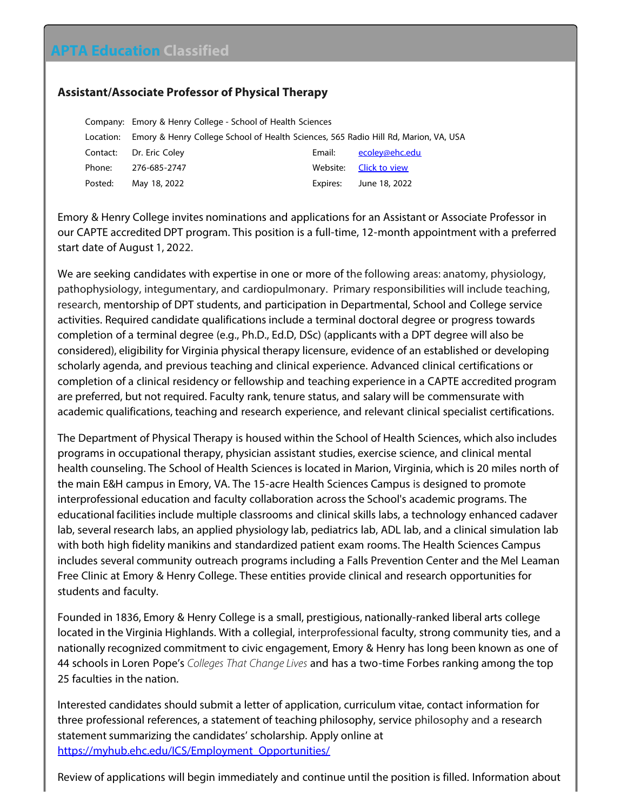## **APTA Education Classified**

## **Assistant/Associate Professor of Physical Therapy**

Company: Emory & Henry College - School of Health Sciences Location: Emory & Henry College School of Health Sciences, 565 Radio Hill Rd, Marion, VA, USA Contact: Dr. Eric Coley Contact: Dr. Eric Coley Phone: 276-685-2747 Website: [Click to view](https://aptaeducation.org?ji2zso/) Posted: May 18, 2022 Expires: June 18, 2022

Emory & Henry College invites nominations and applications for an Assistant or Associate Professor in our CAPTE accredited DPT program. This position is a full-time, 12-month appointment with a preferred start date of August 1, 2022.

We are seeking candidates with expertise in one or more of the following areas: anatomy, physiology, pathophysiology, integumentary, and cardiopulmonary. Primary responsibilities will include teaching, research, mentorship of DPT students, and participation in Departmental, School and College service activities. Required candidate qualifications include a terminal doctoral degree or progress towards completion of a terminal degree (e.g., Ph.D., Ed.D, DSc) (applicants with a DPT degree will also be considered), eligibility for Virginia physical therapy licensure, evidence of an established or developing scholarly agenda, and previous teaching and clinical experience. Advanced clinical certifications or completion of a clinical residency or fellowship and teaching experience in a CAPTE accredited program are preferred, but not required. Faculty rank, tenure status, and salary will be commensurate with academic qualifications, teaching and research experience, and relevant clinical specialist certifications.

The Department of Physical Therapy is housed within the School of Health Sciences, which also includes programs in occupational therapy, physician assistant studies, exercise science, and clinical mental health counseling. The School of Health Sciences is located in Marion, Virginia, which is 20 miles north of the main E&H campus in Emory, VA. The 15-acre Health Sciences Campus is designed to promote interprofessional education and faculty collaboration across the School's academic programs. The educational facilities include multiple classrooms and clinical skills labs, a technology enhanced cadaver lab, several research labs, an applied physiology lab, pediatrics lab, ADL lab, and a clinical simulation lab with both high fidelity manikins and standardized patient exam rooms. The Health Sciences Campus includes several community outreach programs including a Falls Prevention Center and the Mel Leaman Free Clinic at Emory & Henry College. These entities provide clinical and research opportunities for students and faculty.

Founded in 1836, Emory & Henry College is a small, prestigious, nationally-ranked liberal arts college located in the Virginia Highlands. With a collegial, interprofessional faculty, strong community ties, and a nationally recognized commitment to civic engagement, Emory & Henry has long been known as one of 44 schools in Loren Pope's *Colleges That Change Lives* and has a two-time Forbes ranking among the top 25 faculties in the nation.

Interested candidates should submit a letter of application, curriculum vitae, contact information for three professional references, a statement of teaching philosophy, service philosophy and a research statement summarizing the candidates' scholarship. Apply online at [https://myhub.ehc.edu/ICS/Employment\\_Opportunities/](https://myhub.ehc.edu/ICS/Employment_Opportunities/)

Review of applications will begin immediately and continue until the position is filled. Information about